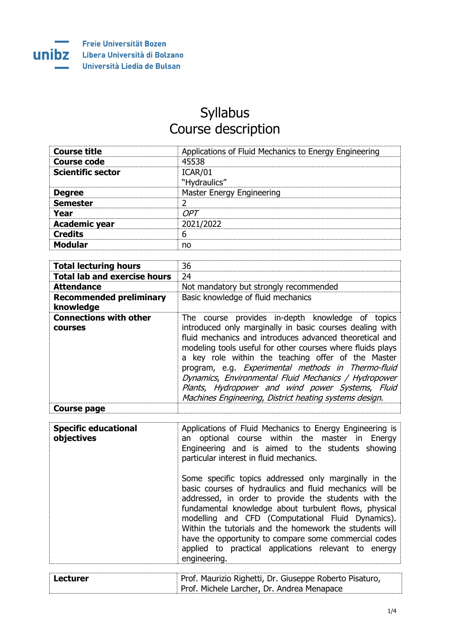

## Syllabus Course description

| <b>Course title</b>      | Applications of Fluid Mechanics to Energy Engineering |
|--------------------------|-------------------------------------------------------|
| Course code              | 45538                                                 |
| <b>Scientific sector</b> | ICAR/01<br>"Hydraulics"                               |
| <b>Degree</b>            | Master Energy Engineering                             |
| <b>Semester</b>          |                                                       |
| Year                     | OPT                                                   |
| <b>Academic year</b>     | 2021/2022                                             |
| <b>Credits</b>           | 6                                                     |
| <b>Modular</b>           | no                                                    |

| <b>Total lecturing hours</b>                    | 36                                                                                                                                                                                                                                                                                                                                                                                                                                                                                                                      |
|-------------------------------------------------|-------------------------------------------------------------------------------------------------------------------------------------------------------------------------------------------------------------------------------------------------------------------------------------------------------------------------------------------------------------------------------------------------------------------------------------------------------------------------------------------------------------------------|
| <b>Total lab and exercise hours</b>             | 24                                                                                                                                                                                                                                                                                                                                                                                                                                                                                                                      |
| <b>Attendance</b>                               | Not mandatory but strongly recommended                                                                                                                                                                                                                                                                                                                                                                                                                                                                                  |
| <b>Recommended preliminary</b><br>knowledge     | Basic knowledge of fluid mechanics                                                                                                                                                                                                                                                                                                                                                                                                                                                                                      |
| <b>Connections with other</b><br><b>COULSES</b> | The course provides in-depth knowledge of topics<br>introduced only marginally in basic courses dealing with<br>fluid mechanics and introduces advanced theoretical and<br>modeling tools useful for other courses where fluids plays<br>a key role within the teaching offer of the Master<br>program, e.g. Experimental methods in Thermo-fluid<br>Dynamics, Environmental Fluid Mechanics / Hydropower<br>Plants, Hydropower and wind power Systems, Fluid<br>Machines Engineering, District heating systems design. |
| Course page                                     |                                                                                                                                                                                                                                                                                                                                                                                                                                                                                                                         |

| <b>Specific educational</b><br>objectives | Applications of Fluid Mechanics to Energy Engineering is<br>an optional course within the master in Energy<br>Engineering and is aimed to the students showing<br>particular interest in fluid mechanics.                                                                                                                                                                                                                                                                          |
|-------------------------------------------|------------------------------------------------------------------------------------------------------------------------------------------------------------------------------------------------------------------------------------------------------------------------------------------------------------------------------------------------------------------------------------------------------------------------------------------------------------------------------------|
|                                           | Some specific topics addressed only marginally in the<br>basic courses of hydraulics and fluid mechanics will be<br>addressed, in order to provide the students with the<br>fundamental knowledge about turbulent flows, physical<br>modelling and CFD (Computational Fluid Dynamics).<br>Within the tutorials and the homework the students will<br>have the opportunity to compare some commercial codes<br>applied to practical applications relevant to energy<br>engineering. |
|                                           |                                                                                                                                                                                                                                                                                                                                                                                                                                                                                    |
| <b>Lecturer</b>                           | Prof. Maurizio Righetti, Dr. Giuseppe Roberto Pisaturo,<br>Prof. Michele Larcher, Dr. Andrea Menapace                                                                                                                                                                                                                                                                                                                                                                              |

1/4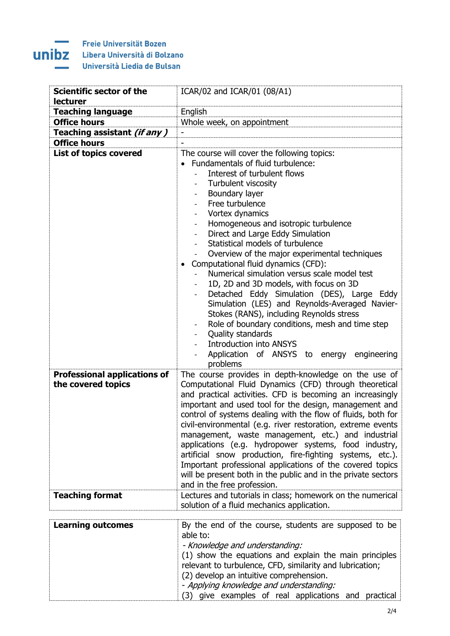## **All Corporation**

| <b>Scientific sector of the</b><br><b>lecturer</b>        | ICAR/02 and ICAR/01 (08/A1)                                                                                                                                                                                                                                                                                                                                                                                                                                                                                                                                                                                                                                                                                                                                                                                                                                                           |  |  |
|-----------------------------------------------------------|---------------------------------------------------------------------------------------------------------------------------------------------------------------------------------------------------------------------------------------------------------------------------------------------------------------------------------------------------------------------------------------------------------------------------------------------------------------------------------------------------------------------------------------------------------------------------------------------------------------------------------------------------------------------------------------------------------------------------------------------------------------------------------------------------------------------------------------------------------------------------------------|--|--|
| <b>Teaching language</b>                                  | English                                                                                                                                                                                                                                                                                                                                                                                                                                                                                                                                                                                                                                                                                                                                                                                                                                                                               |  |  |
| <b>Office hours</b>                                       | Whole week, on appointment                                                                                                                                                                                                                                                                                                                                                                                                                                                                                                                                                                                                                                                                                                                                                                                                                                                            |  |  |
| Teaching assistant <i>(if any)</i>                        | $\overline{\phantom{0}}$                                                                                                                                                                                                                                                                                                                                                                                                                                                                                                                                                                                                                                                                                                                                                                                                                                                              |  |  |
| <b>Office hours</b>                                       |                                                                                                                                                                                                                                                                                                                                                                                                                                                                                                                                                                                                                                                                                                                                                                                                                                                                                       |  |  |
|                                                           |                                                                                                                                                                                                                                                                                                                                                                                                                                                                                                                                                                                                                                                                                                                                                                                                                                                                                       |  |  |
| <b>List of topics covered</b>                             | The course will cover the following topics:<br>Fundamentals of fluid turbulence:<br>Interest of turbulent flows<br>Turbulent viscosity<br>Boundary layer<br>$\overline{\phantom{a}}$<br>Free turbulence<br>Vortex dynamics<br>$\overline{\phantom{a}}$<br>Homogeneous and isotropic turbulence<br>Direct and Large Eddy Simulation<br>Statistical models of turbulence<br>Overview of the major experimental techniques<br>Computational fluid dynamics (CFD):<br>$\bullet$<br>Numerical simulation versus scale model test<br>1D, 2D and 3D models, with focus on 3D<br>Detached Eddy Simulation (DES), Large Eddy<br>Simulation (LES) and Reynolds-Averaged Navier-<br>Stokes (RANS), including Reynolds stress<br>Role of boundary conditions, mesh and time step<br>Quality standards<br><b>Introduction into ANSYS</b><br>Application of ANSYS to energy engineering<br>problems |  |  |
| <b>Professional applications of</b><br>the covered topics | The course provides in depth-knowledge on the use of<br>Computational Fluid Dynamics (CFD) through theoretical<br>and practical activities. CFD is becoming an increasingly<br>important and used tool for the design, management and<br>control of systems dealing with the flow of fluids, both for<br>civil-environmental (e.g. river restoration, extreme events<br>management, waste management, etc.) and industrial<br>applications (e.g. hydropower systems, food industry,<br>artificial snow production, fire-fighting systems, etc.).<br>Important professional applications of the covered topics<br>will be present both in the public and in the private sectors<br>and in the free profession.                                                                                                                                                                         |  |  |
| <b>Teaching format</b>                                    | Lectures and tutorials in class; homework on the numerical<br>solution of a fluid mechanics application.                                                                                                                                                                                                                                                                                                                                                                                                                                                                                                                                                                                                                                                                                                                                                                              |  |  |
| <b>Learning outcomes</b>                                  | By the end of the course, students are supposed to be<br>able to:<br>- Knowledge and understanding:<br>(1) show the equations and explain the main principles<br>relevant to turbulence, CFD, similarity and lubrication;<br>(2) develop an intuitive comprehension.<br>- Applying knowledge and understanding:<br>(3) give examples of real applications and practical                                                                                                                                                                                                                                                                                                                                                                                                                                                                                                               |  |  |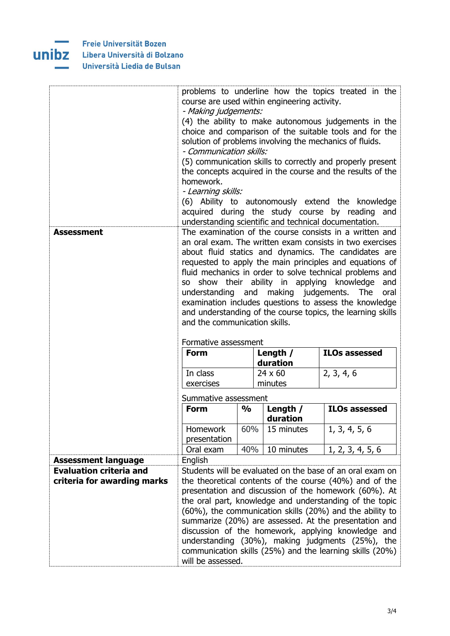

|                                |                                                                                                                                                                                                                                                    |               |                    | problems to underline how the topics treated in the                                                    |
|--------------------------------|----------------------------------------------------------------------------------------------------------------------------------------------------------------------------------------------------------------------------------------------------|---------------|--------------------|--------------------------------------------------------------------------------------------------------|
|                                | course are used within engineering activity.<br>- Making judgements:<br>(4) the ability to make autonomous judgements in the<br>choice and comparison of the suitable tools and for the<br>solution of problems involving the mechanics of fluids. |               |                    |                                                                                                        |
|                                |                                                                                                                                                                                                                                                    |               |                    |                                                                                                        |
|                                |                                                                                                                                                                                                                                                    |               |                    |                                                                                                        |
|                                |                                                                                                                                                                                                                                                    |               |                    |                                                                                                        |
|                                | - Communication skills:                                                                                                                                                                                                                            |               |                    |                                                                                                        |
|                                |                                                                                                                                                                                                                                                    |               |                    | (5) communication skills to correctly and properly present                                             |
|                                |                                                                                                                                                                                                                                                    |               |                    | the concepts acquired in the course and the results of the                                             |
|                                | homework.                                                                                                                                                                                                                                          |               |                    |                                                                                                        |
|                                | - Learning skills:                                                                                                                                                                                                                                 |               |                    |                                                                                                        |
|                                |                                                                                                                                                                                                                                                    |               |                    | (6) Ability to autonomously extend the knowledge                                                       |
|                                |                                                                                                                                                                                                                                                    |               |                    | acquired during the study course by reading and                                                        |
|                                |                                                                                                                                                                                                                                                    |               |                    | understanding scientific and technical documentation.                                                  |
| <b>Assessment</b>              |                                                                                                                                                                                                                                                    |               |                    | The examination of the course consists in a written and                                                |
|                                |                                                                                                                                                                                                                                                    |               |                    | an oral exam. The written exam consists in two exercises                                               |
|                                |                                                                                                                                                                                                                                                    |               |                    | about fluid statics and dynamics. The candidates are                                                   |
|                                |                                                                                                                                                                                                                                                    |               |                    | requested to apply the main principles and equations of                                                |
|                                |                                                                                                                                                                                                                                                    |               |                    | fluid mechanics in order to solve technical problems and                                               |
|                                | SO -                                                                                                                                                                                                                                               |               |                    | show their ability in applying knowledge<br>and                                                        |
|                                | understanding and                                                                                                                                                                                                                                  |               | making judgements. | The<br>oral<br>examination includes questions to assess the knowledge                                  |
|                                |                                                                                                                                                                                                                                                    |               |                    | and understanding of the course topics, the learning skills                                            |
|                                |                                                                                                                                                                                                                                                    |               |                    |                                                                                                        |
|                                | and the communication skills.                                                                                                                                                                                                                      |               |                    |                                                                                                        |
|                                |                                                                                                                                                                                                                                                    |               |                    |                                                                                                        |
|                                | Formative assessment                                                                                                                                                                                                                               |               |                    |                                                                                                        |
|                                | <b>Form</b>                                                                                                                                                                                                                                        |               | Length $/$         | <b>ILOs assessed</b>                                                                                   |
|                                |                                                                                                                                                                                                                                                    |               | duration           |                                                                                                        |
|                                | In class                                                                                                                                                                                                                                           |               | $24 \times 60$     | 2, 3, 4, 6                                                                                             |
|                                | exercises                                                                                                                                                                                                                                          |               | minutes            |                                                                                                        |
|                                | Summative assessment                                                                                                                                                                                                                               |               |                    |                                                                                                        |
|                                | <b>Form</b>                                                                                                                                                                                                                                        | $\frac{0}{0}$ | Length /           | <b>ILOs assessed</b>                                                                                   |
|                                |                                                                                                                                                                                                                                                    |               | duration           |                                                                                                        |
|                                | Homework                                                                                                                                                                                                                                           | 60%           | 15 minutes         | 1, 3, 4, 5, 6                                                                                          |
|                                | presentation                                                                                                                                                                                                                                       |               |                    |                                                                                                        |
|                                | Oral exam                                                                                                                                                                                                                                          | 40%           | 10 minutes         | 1, 2, 3, 4, 5, 6                                                                                       |
| <b>Assessment language</b>     | English                                                                                                                                                                                                                                            |               |                    |                                                                                                        |
| <b>Evaluation criteria and</b> |                                                                                                                                                                                                                                                    |               |                    | Students will be evaluated on the base of an oral exam on                                              |
| criteria for awarding marks    |                                                                                                                                                                                                                                                    |               |                    | the theoretical contents of the course (40%) and of the                                                |
|                                |                                                                                                                                                                                                                                                    |               |                    | presentation and discussion of the homework (60%). At                                                  |
|                                |                                                                                                                                                                                                                                                    |               |                    | the oral part, knowledge and understanding of the topic                                                |
|                                |                                                                                                                                                                                                                                                    |               |                    | (60%), the communication skills (20%) and the ability to                                               |
|                                |                                                                                                                                                                                                                                                    |               |                    | summarize (20%) are assessed. At the presentation and                                                  |
|                                |                                                                                                                                                                                                                                                    |               |                    | discussion of the homework, applying knowledge and<br>understanding (30%), making judgments (25%), the |
|                                |                                                                                                                                                                                                                                                    |               |                    | communication skills (25%) and the learning skills (20%)                                               |